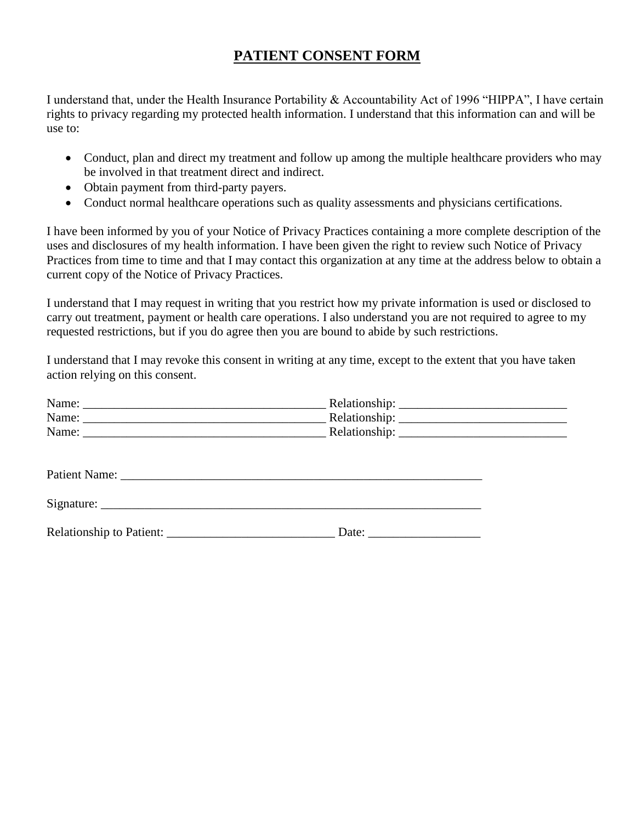## **PATIENT CONSENT FORM**

I understand that, under the Health Insurance Portability & Accountability Act of 1996 "HIPPA", I have certain rights to privacy regarding my protected health information. I understand that this information can and will be use to:

- Conduct, plan and direct my treatment and follow up among the multiple healthcare providers who may be involved in that treatment direct and indirect.
- Obtain payment from third-party payers.
- Conduct normal healthcare operations such as quality assessments and physicians certifications.

I have been informed by you of your Notice of Privacy Practices containing a more complete description of the uses and disclosures of my health information. I have been given the right to review such Notice of Privacy Practices from time to time and that I may contact this organization at any time at the address below to obtain a current copy of the Notice of Privacy Practices.

I understand that I may request in writing that you restrict how my private information is used or disclosed to carry out treatment, payment or health care operations. I also understand you are not required to agree to my requested restrictions, but if you do agree then you are bound to abide by such restrictions.

I understand that I may revoke this consent in writing at any time, except to the extent that you have taken action relying on this consent.